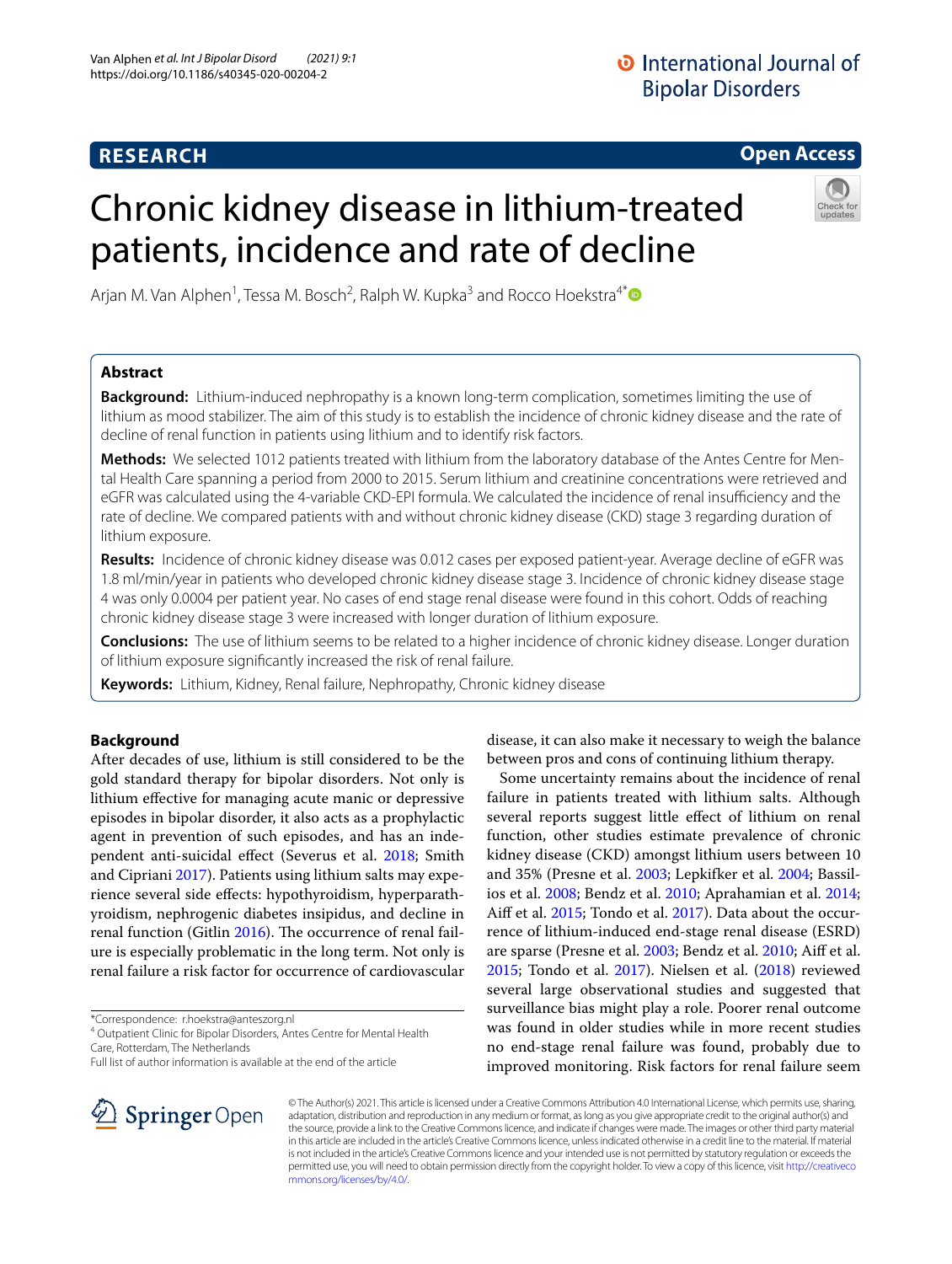# **RESEARCH**

# **O** International Journal of **Bipolar Disorders**

**Open Access**

# Chronic kidney disease in lithium-treated patients, incidence and rate of decline



Arjan M. Van Alphen<sup>1</sup>, Tessa M. Bosch<sup>2</sup>, Ralph W. Kupka<sup>3</sup> and Rocco Hoekstra<sup>4[\\*](http://orcid.org/0000-0001-8122-6703)</sup>

# **Abstract**

**Background:** Lithium-induced nephropathy is a known long-term complication, sometimes limiting the use of lithium as mood stabilizer. The aim of this study is to establish the incidence of chronic kidney disease and the rate of decline of renal function in patients using lithium and to identify risk factors.

**Methods:** We selected 1012 patients treated with lithium from the laboratory database of the Antes Centre for Mental Health Care spanning a period from 2000 to 2015. Serum lithium and creatinine concentrations were retrieved and eGFR was calculated using the 4-variable CKD-EPI formula. We calculated the incidence of renal insufficiency and the rate of decline. We compared patients with and without chronic kidney disease (CKD) stage 3 regarding duration of lithium exposure.

**Results:** Incidence of chronic kidney disease was 0.012 cases per exposed patient-year. Average decline of eGFR was 1.8 ml/min/year in patients who developed chronic kidney disease stage 3. Incidence of chronic kidney disease stage 4 was only 0.0004 per patient year. No cases of end stage renal disease were found in this cohort. Odds of reaching chronic kidney disease stage 3 were increased with longer duration of lithium exposure.

**Conclusions:** The use of lithium seems to be related to a higher incidence of chronic kidney disease. Longer duration of lithium exposure signifcantly increased the risk of renal failure.

**Keywords:** Lithium, Kidney, Renal failure, Nephropathy, Chronic kidney disease

## **Background**

After decades of use, lithium is still considered to be the gold standard therapy for bipolar disorders. Not only is lithium efective for managing acute manic or depressive episodes in bipolar disorder, it also acts as a prophylactic agent in prevention of such episodes, and has an independent anti-suicidal efect (Severus et al. [2018;](#page-4-0) Smith and Cipriani [2017\)](#page-4-1). Patients using lithium salts may experience several side efects: hypothyroidism, hyperparathyroidism, nephrogenic diabetes insipidus, and decline in renal function (Gitlin [2016](#page-4-2)). The occurrence of renal failure is especially problematic in the long term. Not only is renal failure a risk factor for occurrence of cardiovascular

\*Correspondence: r.hoekstra@anteszorg.nl

<sup>4</sup> Outpatient Clinic for Bipolar Disorders, Antes Centre for Mental Health Care, Rotterdam, The Netherlands

Full list of author information is available at the end of the article

disease, it can also make it necessary to weigh the balance between pros and cons of continuing lithium therapy.

Some uncertainty remains about the incidence of renal failure in patients treated with lithium salts. Although several reports suggest little efect of lithium on renal function, other studies estimate prevalence of chronic kidney disease (CKD) amongst lithium users between 10 and 35% (Presne et al. [2003;](#page-4-3) Lepkifker et al. [2004;](#page-4-4) Bassilios et al. [2008;](#page-4-5) Bendz et al. [2010](#page-4-6); Aprahamian et al. [2014](#page-4-7); Aif et al. [2015;](#page-4-8) Tondo et al. [2017](#page-4-9)). Data about the occurrence of lithium-induced end-stage renal disease (ESRD) are sparse (Presne et al. [2003](#page-4-3); Bendz et al. [2010;](#page-4-6) Aif et al. [2015](#page-4-8); Tondo et al. [2017](#page-4-9)). Nielsen et al. [\(2018\)](#page-4-10) reviewed several large observational studies and suggested that surveillance bias might play a role. Poorer renal outcome was found in older studies while in more recent studies no end-stage renal failure was found, probably due to improved monitoring. Risk factors for renal failure seem



© The Author(s) 2021. This article is licensed under a Creative Commons Attribution 4.0 International License, which permits use, sharing, adaptation, distribution and reproduction in any medium or format, as long as you give appropriate credit to the original author(s) and the source, provide a link to the Creative Commons licence, and indicate if changes were made. The images or other third party material in this article are included in the article's Creative Commons licence, unless indicated otherwise in a credit line to the material. If material is not included in the article's Creative Commons licence and your intended use is not permitted by statutory regulation or exceeds the permitted use, you will need to obtain permission directly from the copyright holder. To view a copy of this licence, visit [http://creativeco](http://creativecommons.org/licenses/by/4.0/) [mmons.org/licenses/by/4.0/.](http://creativecommons.org/licenses/by/4.0/)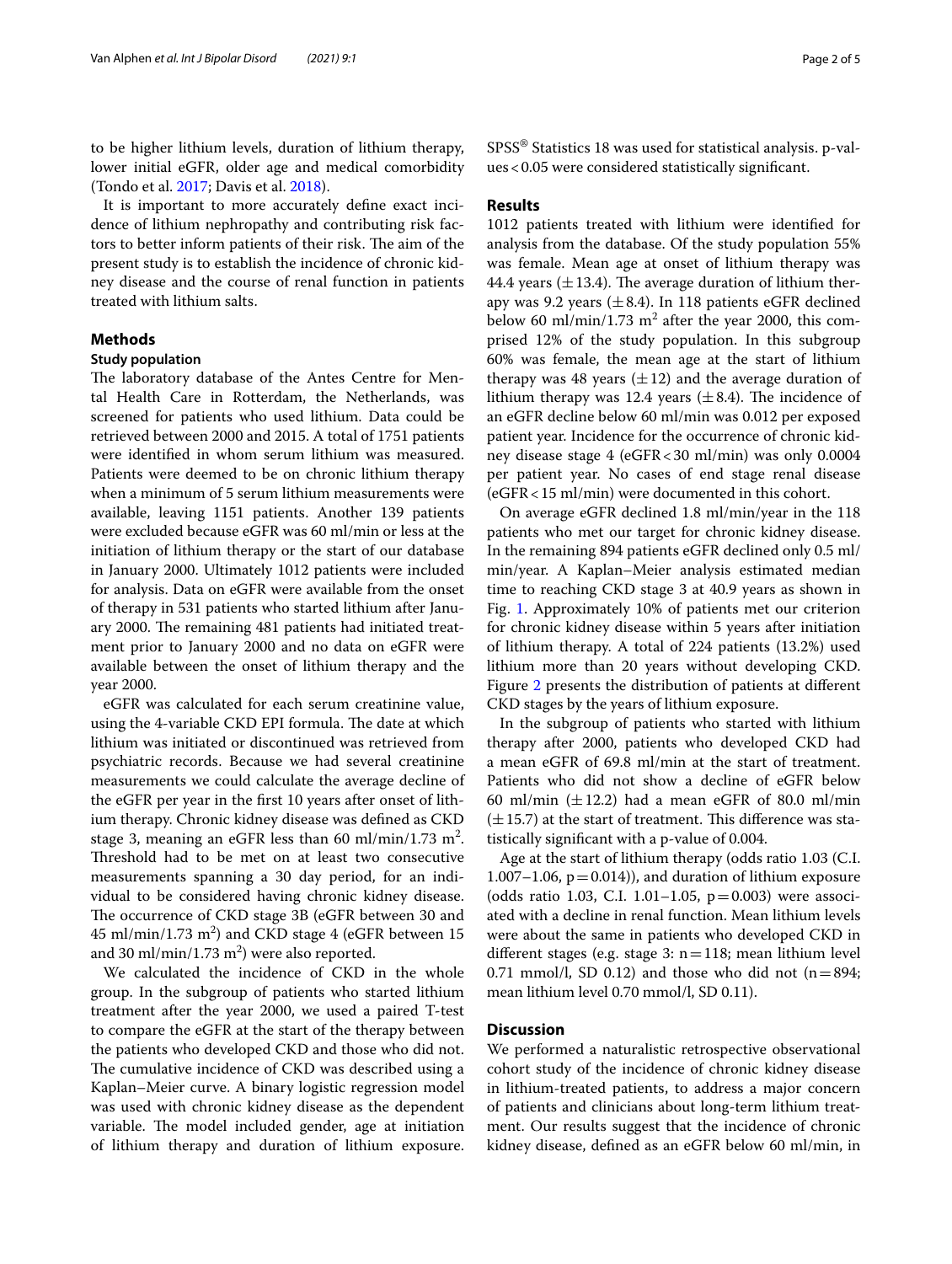to be higher lithium levels, duration of lithium therapy, lower initial eGFR, older age and medical comorbidity (Tondo et al. [2017](#page-4-9); Davis et al. [2018](#page-4-11)).

It is important to more accurately defne exact incidence of lithium nephropathy and contributing risk factors to better inform patients of their risk. The aim of the present study is to establish the incidence of chronic kidney disease and the course of renal function in patients treated with lithium salts.

### **Methods**

#### **Study population**

The laboratory database of the Antes Centre for Mental Health Care in Rotterdam, the Netherlands, was screened for patients who used lithium. Data could be retrieved between 2000 and 2015. A total of 1751 patients were identifed in whom serum lithium was measured. Patients were deemed to be on chronic lithium therapy when a minimum of 5 serum lithium measurements were available, leaving 1151 patients. Another 139 patients were excluded because eGFR was 60 ml/min or less at the initiation of lithium therapy or the start of our database in January 2000. Ultimately 1012 patients were included for analysis. Data on eGFR were available from the onset of therapy in 531 patients who started lithium after January 2000. The remaining 481 patients had initiated treatment prior to January 2000 and no data on eGFR were available between the onset of lithium therapy and the year 2000.

eGFR was calculated for each serum creatinine value, using the 4-variable CKD EPI formula. The date at which lithium was initiated or discontinued was retrieved from psychiatric records. Because we had several creatinine measurements we could calculate the average decline of the eGFR per year in the frst 10 years after onset of lithium therapy. Chronic kidney disease was defned as CKD stage 3, meaning an eGFR less than 60 ml/min/1.73 m<sup>2</sup>. Threshold had to be met on at least two consecutive measurements spanning a 30 day period, for an individual to be considered having chronic kidney disease. The occurrence of CKD stage 3B (eGFR between 30 and  $45 \text{ ml/min}/1.73 \text{ m}^2$ ) and CKD stage 4 (eGFR between  $15 \text{ m}$ and 30 ml/min/1.73 m<sup>2</sup>) were also reported.

We calculated the incidence of CKD in the whole group. In the subgroup of patients who started lithium treatment after the year 2000, we used a paired T-test to compare the eGFR at the start of the therapy between the patients who developed CKD and those who did not. The cumulative incidence of CKD was described using a Kaplan–Meier curve. A binary logistic regression model was used with chronic kidney disease as the dependent variable. The model included gender, age at initiation of lithium therapy and duration of lithium exposure. SPSS® Statistics 18 was used for statistical analysis. p-values<0.05 were considered statistically signifcant.

#### **Results**

1012 patients treated with lithium were identifed for analysis from the database. Of the study population 55% was female. Mean age at onset of lithium therapy was 44.4 years ( $\pm$ 13.4). The average duration of lithium therapy was 9.2 years  $(\pm 8.4)$ . In 118 patients eGFR declined below 60 ml/min/1.73  $m^2$  after the year 2000, this comprised 12% of the study population. In this subgroup 60% was female, the mean age at the start of lithium therapy was 48 years  $(\pm 12)$  and the average duration of lithium therapy was 12.4 years  $(\pm 8.4)$ . The incidence of an eGFR decline below 60 ml/min was 0.012 per exposed patient year. Incidence for the occurrence of chronic kidney disease stage 4 (eGFR<30 ml/min) was only 0.0004 per patient year. No cases of end stage renal disease (eGFR<15 ml/min) were documented in this cohort.

On average eGFR declined 1.8 ml/min/year in the 118 patients who met our target for chronic kidney disease. In the remaining 894 patients eGFR declined only 0.5 ml/ min/year. A Kaplan–Meier analysis estimated median time to reaching CKD stage 3 at 40.9 years as shown in Fig. [1.](#page-2-0) Approximately 10% of patients met our criterion for chronic kidney disease within 5 years after initiation of lithium therapy. A total of 224 patients (13.2%) used lithium more than 20 years without developing CKD. Figure [2](#page-3-0) presents the distribution of patients at diferent CKD stages by the years of lithium exposure.

In the subgroup of patients who started with lithium therapy after 2000, patients who developed CKD had a mean eGFR of 69.8 ml/min at the start of treatment. Patients who did not show a decline of eGFR below 60 ml/min  $(\pm 12.2)$  had a mean eGFR of 80.0 ml/min  $(\pm 15.7)$  at the start of treatment. This difference was statistically signifcant with a p-value of 0.004.

Age at the start of lithium therapy (odds ratio 1.03 (C.I. 1.007–1.06,  $p = 0.014$ )), and duration of lithium exposure (odds ratio 1.03, C.I. 1.01–1.05,  $p=0.003$ ) were associated with a decline in renal function. Mean lithium levels were about the same in patients who developed CKD in different stages (e.g. stage 3:  $n=118$ ; mean lithium level 0.71 mmol/l, SD 0.12) and those who did not  $(n=894;$ mean lithium level 0.70 mmol/l, SD 0.11).

## **Discussion**

We performed a naturalistic retrospective observational cohort study of the incidence of chronic kidney disease in lithium-treated patients, to address a major concern of patients and clinicians about long-term lithium treatment. Our results suggest that the incidence of chronic kidney disease, defned as an eGFR below 60 ml/min, in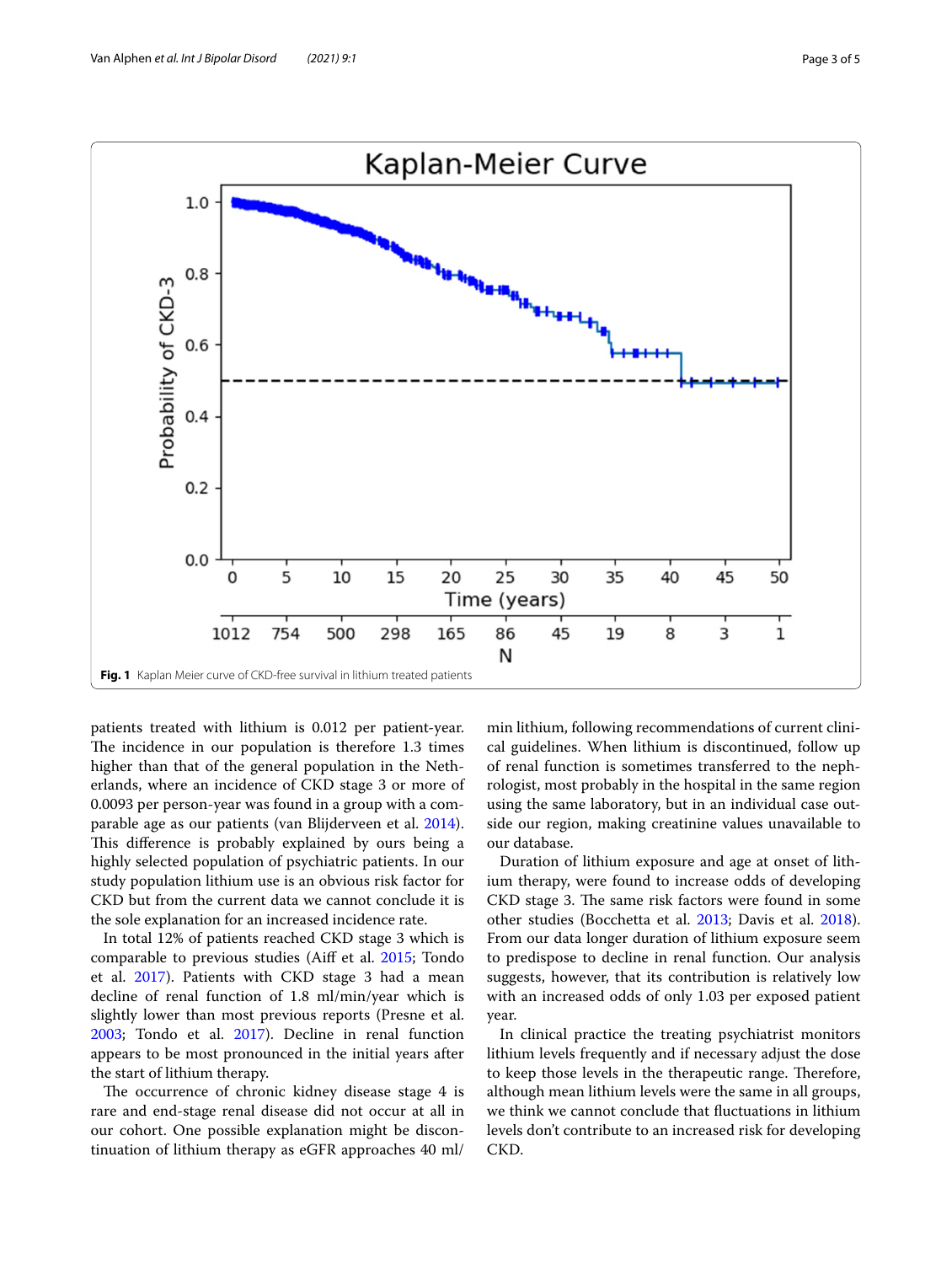

<span id="page-2-0"></span>patients treated with lithium is 0.012 per patient-year. The incidence in our population is therefore 1.3 times higher than that of the general population in the Netherlands, where an incidence of CKD stage 3 or more of 0.0093 per person-year was found in a group with a comparable age as our patients (van Blijderveen et al. [2014](#page-4-12)). This difference is probably explained by ours being a highly selected population of psychiatric patients. In our study population lithium use is an obvious risk factor for CKD but from the current data we cannot conclude it is the sole explanation for an increased incidence rate.

In total 12% of patients reached CKD stage 3 which is comparable to previous studies (Aif et al. [2015;](#page-4-8) Tondo et al. [2017\)](#page-4-9). Patients with CKD stage 3 had a mean decline of renal function of 1.8 ml/min/year which is slightly lower than most previous reports (Presne et al. [2003](#page-4-3); Tondo et al. [2017](#page-4-9)). Decline in renal function appears to be most pronounced in the initial years after the start of lithium therapy.

The occurrence of chronic kidney disease stage 4 is rare and end-stage renal disease did not occur at all in our cohort. One possible explanation might be discontinuation of lithium therapy as eGFR approaches 40 ml/

min lithium, following recommendations of current clinical guidelines. When lithium is discontinued, follow up of renal function is sometimes transferred to the nephrologist, most probably in the hospital in the same region using the same laboratory, but in an individual case outside our region, making creatinine values unavailable to our database.

Duration of lithium exposure and age at onset of lithium therapy, were found to increase odds of developing CKD stage 3. The same risk factors were found in some other studies (Bocchetta et al. [2013;](#page-4-13) Davis et al. [2018](#page-4-11)). From our data longer duration of lithium exposure seem to predispose to decline in renal function. Our analysis suggests, however, that its contribution is relatively low with an increased odds of only 1.03 per exposed patient year.

In clinical practice the treating psychiatrist monitors lithium levels frequently and if necessary adjust the dose to keep those levels in the therapeutic range. Therefore, although mean lithium levels were the same in all groups, we think we cannot conclude that fuctuations in lithium levels don't contribute to an increased risk for developing CKD.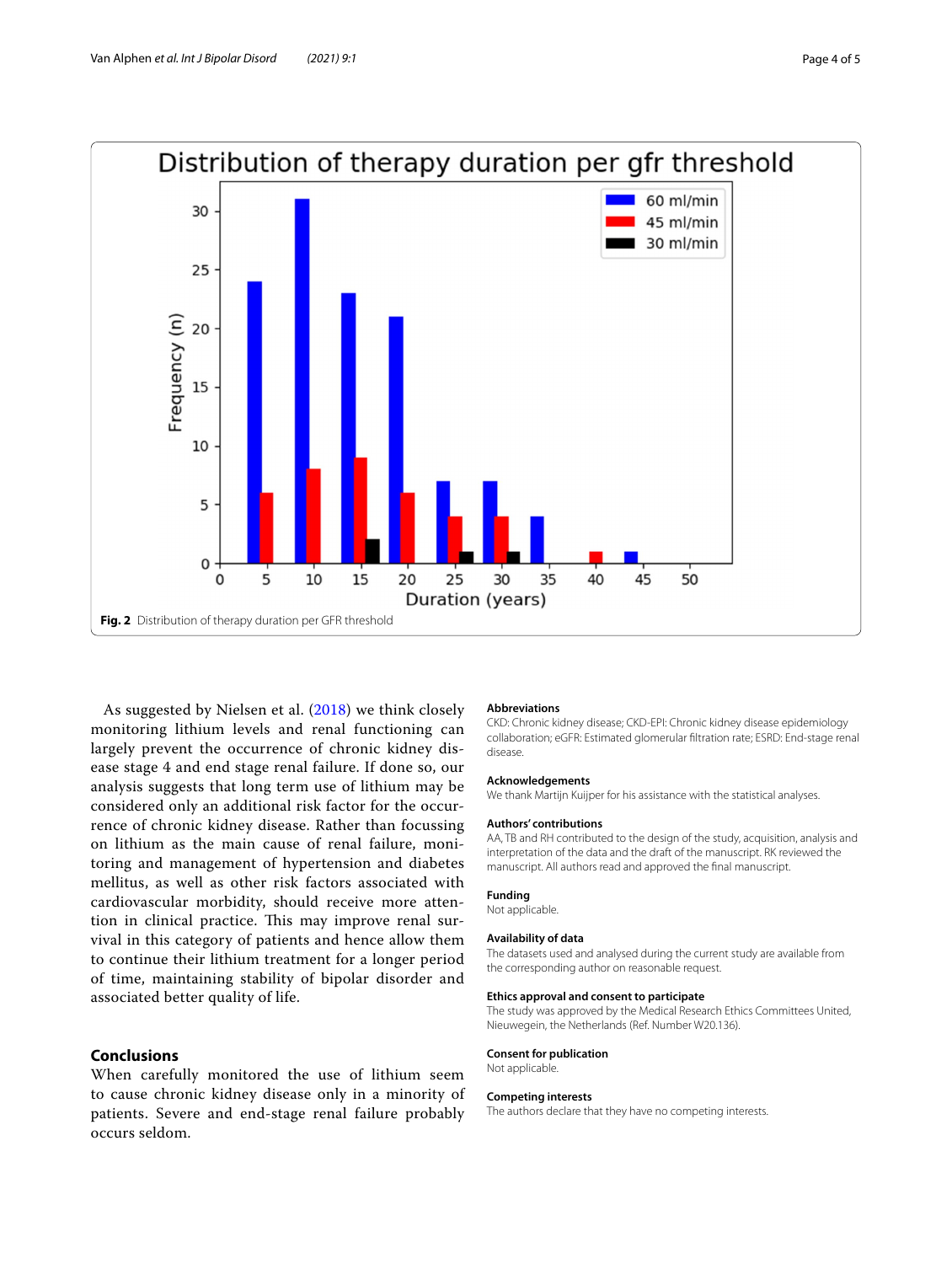

<span id="page-3-0"></span>As suggested by Nielsen et al. [\(2018\)](#page-4-10) we think closely monitoring lithium levels and renal functioning can largely prevent the occurrence of chronic kidney disease stage 4 and end stage renal failure. If done so, our analysis suggests that long term use of lithium may be considered only an additional risk factor for the occurrence of chronic kidney disease. Rather than focussing on lithium as the main cause of renal failure, monitoring and management of hypertension and diabetes mellitus, as well as other risk factors associated with cardiovascular morbidity, should receive more attention in clinical practice. This may improve renal survival in this category of patients and hence allow them to continue their lithium treatment for a longer period of time, maintaining stability of bipolar disorder and associated better quality of life.

# **Conclusions**

When carefully monitored the use of lithium seem to cause chronic kidney disease only in a minority of patients. Severe and end-stage renal failure probably occurs seldom.

#### **Abbreviations**

CKD: Chronic kidney disease; CKD-EPI: Chronic kidney disease epidemiology collaboration; eGFR: Estimated glomerular fltration rate; ESRD: End-stage renal disease.

#### **Acknowledgements**

We thank Martijn Kuijper for his assistance with the statistical analyses.

#### **Authors' contributions**

AA, TB and RH contributed to the design of the study, acquisition, analysis and interpretation of the data and the draft of the manuscript. RK reviewed the manuscript. All authors read and approved the fnal manuscript.

#### **Funding**

Not applicable.

#### **Availability of data**

The datasets used and analysed during the current study are available from the corresponding author on reasonable request.

#### **Ethics approval and consent to participate**

The study was approved by the Medical Research Ethics Committees United, Nieuwegein, the Netherlands (Ref. Number W20.136).

#### **Consent for publication** Not applicable.

#### **Competing interests**

The authors declare that they have no competing interests.